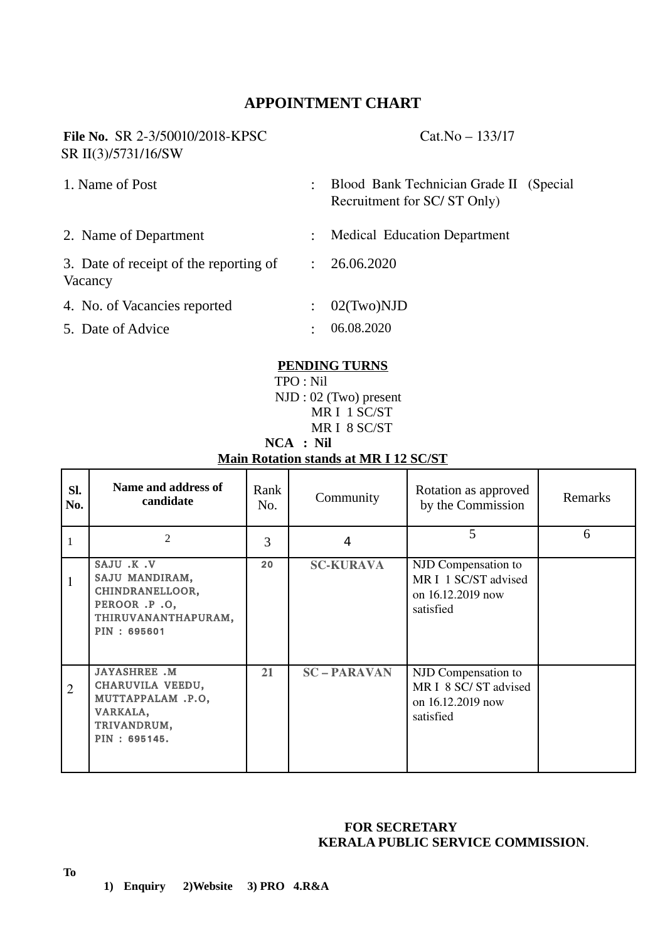# **APPOINTMENT CHART**

# **File No.** SR 2-3/50010/2018-KPSC Cat.No – 133/17 SR II(3)/5731/16/SW

| 1. Name of Post                                   | $\ddot{\phantom{a}}$ | Blood Bank Technician Grade II (Special<br>Recruitment for SC/ST Only) |
|---------------------------------------------------|----------------------|------------------------------------------------------------------------|
| 2. Name of Department                             | $\ddot{\cdot}$       | <b>Medical Education Department</b>                                    |
| 3. Date of receipt of the reporting of<br>Vacancy | ÷                    | 26.06.2020                                                             |
| 4. No. of Vacancies reported                      |                      | $02$ (Two) $ND$                                                        |
| 5. Date of Advice                                 | ٠                    | 06.08.2020                                                             |

#### **PENDING TURNS**

 TPO : Nil NJD : 02 (Two) present MR I 1 SC/ST MR I 8 SC/ST

#### **NCA : Nil Main Rotation stands at MR I 12 SC/ST**

| SI.<br>No.     | Name and address of<br>candidate                                                                        | Rank<br>No. | Community         | Rotation as approved<br>by the Commission                                     | Remarks |
|----------------|---------------------------------------------------------------------------------------------------------|-------------|-------------------|-------------------------------------------------------------------------------|---------|
| $\mathbf{1}$   | $\overline{2}$                                                                                          | 3           | 4                 | 5                                                                             | 6       |
| 1              | SAJU .K .V<br>SAJU MANDIRAM,<br>CHINDRANELLOOR,<br>PEROOR .P .O,<br>THIRUVANANTHAPURAM,<br>PIN: 695601  | 20          | <b>SC-KURAVA</b>  | NJD Compensation to<br>MR I 1 SC/ST advised<br>on 16.12.2019 now<br>satisfied |         |
| $\overline{2}$ | <b>JAYASHREE .M</b><br>CHARUVILA VEEDU,<br>MUTTAPPALAM .P.O,<br>VARKALA,<br>TRIVANDRUM,<br>PIN: 695145. | 21          | <b>SC-PARAVAN</b> | NJD Compensation to<br>MR I 8 SC/ST advised<br>on 16.12.2019 now<br>satisfied |         |

### **FOR SECRETARY KERALA PUBLIC SERVICE COMMISSION**.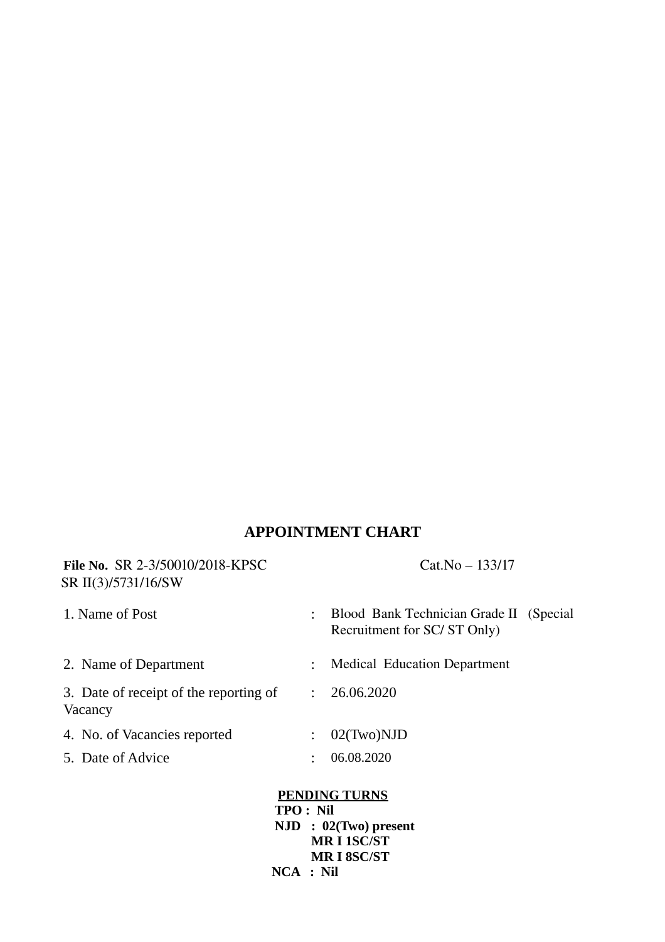# **APPOINTMENT CHART**

| <b>File No. SR 2-3/50010/2018-KPSC</b><br>SR II(3)/5731/16/SW |                | $Cat.No - 133/17$                                                      |  |  |  |  |  |
|---------------------------------------------------------------|----------------|------------------------------------------------------------------------|--|--|--|--|--|
| 1. Name of Post                                               |                | Blood Bank Technician Grade II (Special<br>Recruitment for SC/ST Only) |  |  |  |  |  |
| 2. Name of Department                                         |                | <b>Medical Education Department</b>                                    |  |  |  |  |  |
| 3. Date of receipt of the reporting of<br>Vacancy             | ÷              | 26.06.2020                                                             |  |  |  |  |  |
| 4. No. of Vacancies reported                                  | $\ddot{\cdot}$ | $02$ (Two)NJD                                                          |  |  |  |  |  |
| 5. Date of Advice                                             |                | 06.08.2020                                                             |  |  |  |  |  |
| <b>PENDING TURNS</b>                                          |                |                                                                        |  |  |  |  |  |

 **TPO : Nil NJD : 02(Two) present MR I 1SC/ST MR I 8SC/ST NCA : Nil**